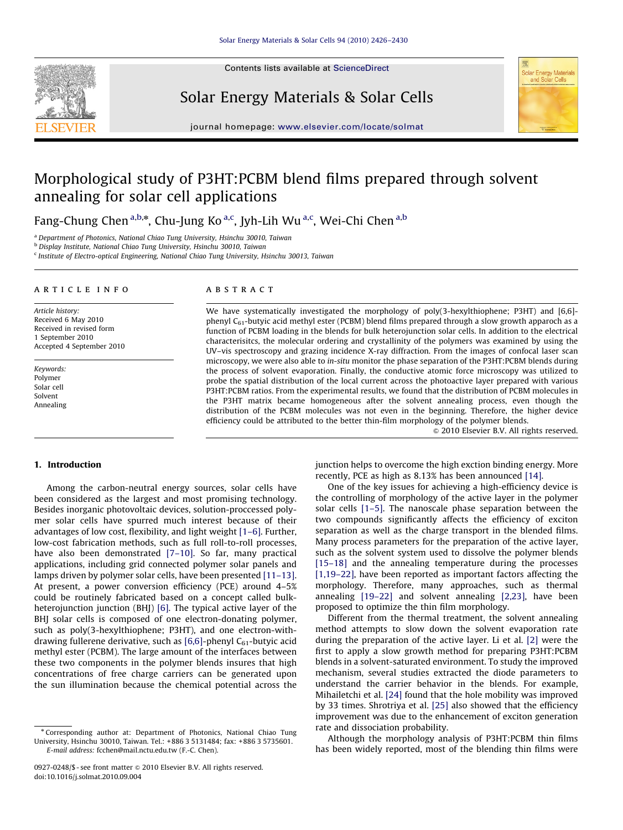

Contents lists available at ScienceDirect

Solar Energy Materials & Solar Cells



journal homepage: <www.elsevier.com/locate/solmat>

# Morphological study of P3HT:PCBM blend films prepared through solvent annealing for solar cell applications

Fang-Chung Chen <sup>a,b,\*</sup>, Chu-Jung Ko<sup>a,c</sup>, Jyh-Lih Wu <sup>a,c</sup>, Wei-Chi Chen <sup>a,b</sup>

<sup>a</sup> Department of Photonics, National Chiao Tung University, Hsinchu 30010, Taiwan

<sup>b</sup> Display Institute, National Chiao Tung University, Hsinchu 30010, Taiwan

 $c$  Institute of Electro-optical Engineering, National Chiao Tung University, Hsinchu 30013, Taiwan

#### article info

Article history: Received 6 May 2010 Received in revised form 1 September 2010 Accepted 4 September 2010

Keywords: Polymer Solar cell Solvent Annealing

#### **ABSTRACT**

We have systematically investigated the morphology of poly(3-hexylthiophene; P3HT) and [6,6] phenyl  $C_{61}$ -butyic acid methyl ester (PCBM) blend films prepared through a slow growth apparoch as a function of PCBM loading in the blends for bulk heterojunction solar cells. In addition to the electrical characterisitcs, the molecular ordering and crystallinity of the polymers was examined by using the UV–vis spectroscopy and grazing incidence X-ray diffraction. From the images of confocal laser scan microscopy, we were also able to in-situ monitor the phase separation of the P3HT:PCBM blends during the process of solvent evaporation. Finally, the conductive atomic force microscopy was utilized to probe the spatial distribution of the local current across the photoactive layer prepared with various P3HT:PCBM ratios. From the experimental results, we found that the distribution of PCBM molecules in the P3HT matrix became homogeneous after the solvent annealing process, even though the distribution of the PCBM molecules was not even in the beginning. Therefore, the higher device efficiency could be attributed to the better thin-film morphology of the polymer blends.

 $© 2010 Elsevier B.V. All rights reserved.$ 

## 1. Introduction

Among the carbon-neutral energy sources, solar cells have been considered as the largest and most promising technology. Besides inorganic photovoltaic devices, solution-proccessed polymer solar cells have spurred much interest because of their advantages of low cost, flexibility, and light weight [\[1–6\]](#page-4-0). Further, low-cost fabrication methods, such as full roll-to-roll processes, have also been demonstrated [7-10]. So far, many practical applications, including grid connected polymer solar panels and lamps driven by polymer solar cells, have been presented [\[11–13\].](#page-4-0) At present, a power conversion efficiency (PCE) around 4–5% could be routinely fabricated based on a concept called bulkheterojunction junction (BHJ) [\[6\]](#page-4-0). The typical active layer of the BHJ solar cells is composed of one electron-donating polymer, such as poly(3-hexylthiophene; P3HT), and one electron-withdrawing fullerene derivative, such as  $[6,6]$ -phenyl C $_{61}$ -butyic acid methyl ester (PCBM). The large amount of the interfaces between these two components in the polymer blends insures that high concentrations of free charge carriers can be generated upon the sun illumination because the chemical potential across the junction helps to overcome the high exction binding energy. More recently, PCE as high as 8.13% has been announced [\[14\].](#page-4-0)

One of the key issues for achieving a high-efficiency device is the controlling of morphology of the active layer in the polymer solar cells [\[1–5\]](#page-4-0). The nanoscale phase separation between the two compounds significantly affects the efficiency of exciton separation as well as the charge transport in the blended films. Many process parameters for the preparation of the active layer, such as the solvent system used to dissolve the polymer blends [15-18] and the annealing temperature during the processes [\[1,19–22\],](#page-4-0) have been reported as important factors affecting the morphology. Therefore, many approaches, such as thermal annealing [\[19–22\]](#page-4-0) and solvent annealing [\[2,23\],](#page-4-0) have been proposed to optimize the thin film morphology.

Different from the thermal treatment, the solvent annealing method attempts to slow down the solvent evaporation rate during the preparation of the active layer. Li et al. [\[2\]](#page-4-0) were the first to apply a slow growth method for preparing P3HT:PCBM blends in a solvent-saturated environment. To study the improved mechanism, several studies extracted the diode parameters to understand the carrier behavior in the blends. For example, Mihailetchi et al. [\[24\]](#page-4-0) found that the hole mobility was improved by 33 times. Shrotriya et al. [\[25\]](#page-4-0) also showed that the efficiency improvement was due to the enhancement of exciton generation rate and dissociation probability.

Although the morphology analysis of P3HT:PCBM thin films has been widely reported, most of the blending thin films were

<sup>n</sup> Corresponding author at: Department of Photonics, National Chiao Tung University, Hsinchu 30010, Taiwan. Tel.: +886 3 5131484; fax: +886 3 5735601. E-mail address: [fcchen@mail.nctu.edu.tw \(F.-C. Chen\)](mailto:fcchen@mail.nctu.edu.tw).

<sup>0927-0248/\$ -</sup> see front matter  $\circ$  2010 Elsevier B.V. All rights reserved. doi:[10.1016/j.solmat.2010.09.004](dx.doi.org/10.1016/j.solmat.2010.09.004)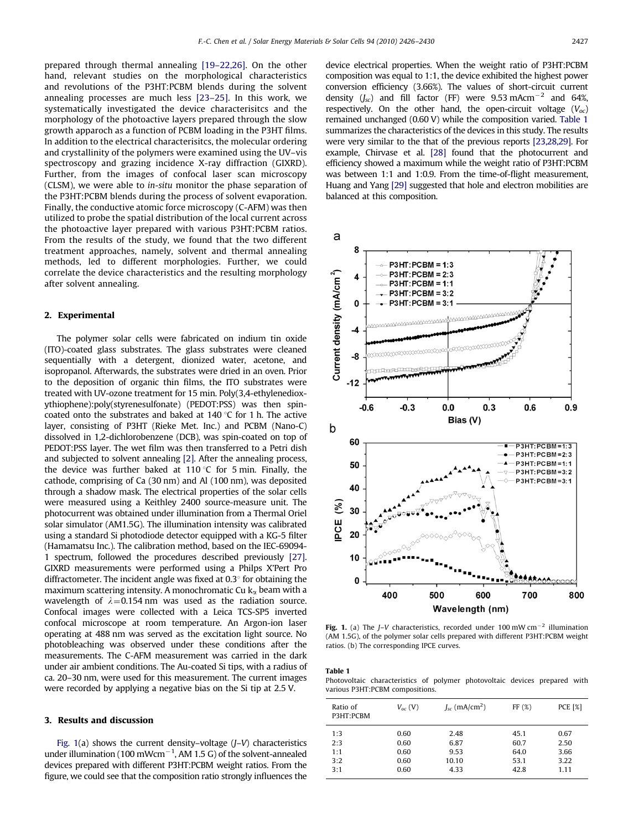<span id="page-1-0"></span>prepared through thermal annealing [\[19–22,26\].](#page-4-0) On the other hand, relevant studies on the morphological characteristics and revolutions of the P3HT:PCBM blends during the solvent annealing processes are much less [\[23–25\]](#page-4-0). In this work, we systematically investigated the device characterisitcs and the morphology of the photoactive layers prepared through the slow growth apparoch as a function of PCBM loading in the P3HT films. In addition to the electrical characterisitcs, the molecular ordering and crystallinity of the polymers were examined using the UV–vis spectroscopy and grazing incidence X-ray diffraction (GIXRD). Further, from the images of confocal laser scan microscopy (CLSM), we were able to in-situ monitor the phase separation of the P3HT:PCBM blends during the process of solvent evaporation. Finally, the conductive atomic force microscopy (C-AFM) was then utilized to probe the spatial distribution of the local current across the photoactive layer prepared with various P3HT:PCBM ratios. From the results of the study, we found that the two different treatment approaches, namely, solvent and thermal annealing methods, led to different morphologies. Further, we could correlate the device characteristics and the resulting morphology after solvent annealing.

## 2. Experimental

The polymer solar cells were fabricated on indium tin oxide (ITO)-coated glass substrates. The glass substrates were cleaned sequentially with a detergent, dionized water, acetone, and isopropanol. Afterwards, the substrates were dried in an oven. Prior to the deposition of organic thin films, the ITO substrates were treated with UV-ozone treatment for 15 min. Poly(3,4-ethylenedioxythiophene):poly(styrenesulfonate) (PEDOT:PSS) was then spincoated onto the substrates and baked at  $140^{\circ}$ C for 1 h. The active layer, consisting of P3HT (Rieke Met. Inc.) and PCBM (Nano-C) dissolved in 1,2-dichlorobenzene (DCB), was spin-coated on top of PEDOT:PSS layer. The wet film was then transferred to a Petri dish and subjected to solvent annealing [\[2\]](#page-4-0). After the annealing process, the device was further baked at 110 °C for 5 min. Finally, the cathode, comprising of Ca (30 nm) and Al (100 nm), was deposited through a shadow mask. The electrical properties of the solar cells were measured using a Keithley 2400 source-measure unit. The photocurrent was obtained under illumination from a Thermal Oriel solar simulator (AM1.5G). The illumination intensity was calibrated using a standard Si photodiode detector equipped with a KG-5 filter (Hamamatsu Inc.). The calibration method, based on the IEC-69094- 1 spectrum, followed the procedures described previously [\[27\].](#page-4-0) GIXRD measurements were performed using a Philps X'Pert Pro diffractometer. The incident angle was fixed at  $0.3^\circ$  for obtaining the maximum scattering intensity. A monochromatic Cu  $k_{\alpha}$  beam with a wavelength of  $\lambda = 0.154$  nm was used as the radiation source. Confocal images were collected with a Leica TCS-SP5 inverted confocal microscope at room temperature. An Argon-ion laser operating at 488 nm was served as the excitation light source. No photobleaching was observed under these conditions after the measurements. The C-AFM measurement was carried in the dark under air ambient conditions. The Au-coated Si tips, with a radius of ca. 20–30 nm, were used for this measurement. The current images were recorded by applying a negative bias on the Si tip at 2.5 V.

# 3. Results and discussion

Fig.  $1(a)$  shows the current density–voltage  $(I-V)$  characteristics under illumination (100 mWcm $^{-1}$ , AM 1.5 G) of the solvent-annealed devices prepared with different P3HT:PCBM weight ratios. From the figure, we could see that the composition ratio strongly influences the device electrical properties. When the weight ratio of P3HT:PCBM composition was equal to 1:1, the device exhibited the highest power conversion efficiency (3.66%). The values of short-circuit current density  $(J_{\rm sc})$  and fill factor (FF) were 9.53 mAcm<sup>-2</sup> and 64%, respectively. On the other hand, the open-circuit voltage  $(V_{oc})$ remained unchanged (0.60 V) while the composition varied. Table 1 summarizes the characteristics of the devices in this study. The results were very similar to the that of the previous reports [\[23,28,29\]](#page-4-0). For example, Chirvase et al. [\[28\]](#page-4-0) found that the photocurrent and efficiency showed a maximum while the weight ratio of P3HT:PCBM was between 1:1 and 1:0.9. From the time-of-flight measurement, Huang and Yang [\[29\]](#page-4-0) suggested that hole and electron mobilities are balanced at this composition.



**Fig. 1.** (a) The *J*–*V* characteristics, recorded under 100 mW cm<sup>-2</sup> illumination (AM 1.5G), of the polymer solar cells prepared with different P3HT:PCBM weight ratios. (b) The corresponding IPCE curves.

Table 1

Photovoltaic characteristics of polymer photovoltaic devices prepared with various P3HT:PCBM compositions.

| Ratio of<br>P3HT:PCBM | $V_{\alpha c}$ (V) | $J_{\rm sc}$ (mA/cm <sup>2</sup> ) | FF(%)        | <b>PCE [%]</b> |
|-----------------------|--------------------|------------------------------------|--------------|----------------|
| 1:3<br>2:3            | 0.60<br>0.60       | 2.48<br>6.87                       | 45.1<br>60.7 | 0.67<br>2.50   |
| 1:1                   | 0.60               | 9.53                               | 64.0         | 3.66           |
| 3:2                   | 0.60               | 10.10                              | 53.1         | 3.22           |
| 3:1                   | 0.60               | 4.33                               | 42.8         | 1.11           |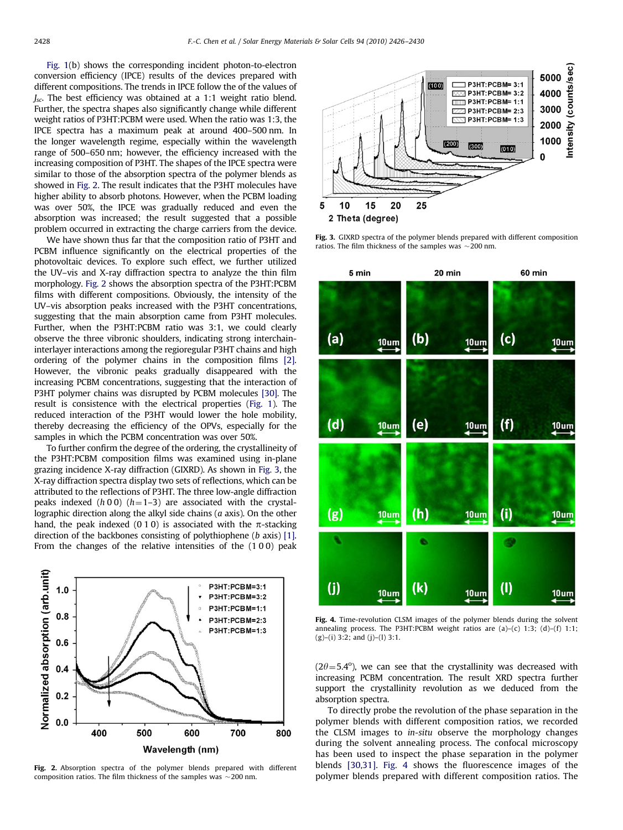<span id="page-2-0"></span>[Fig. 1\(](#page-1-0)b) shows the corresponding incident photon-to-electron conversion efficiency (IPCE) results of the devices prepared with different compositions. The trends in IPCE follow the of the values of  $J_{\rm sc}$ . The best efficiency was obtained at a 1:1 weight ratio blend. Further, the spectra shapes also significantly change while different weight ratios of P3HT:PCBM were used. When the ratio was 1:3, the IPCE spectra has a maximum peak at around 400–500 nm. In the longer wavelength regime, especially within the wavelength range of 500–650 nm; however, the efficiency increased with the increasing composition of P3HT. The shapes of the IPCE spectra were similar to those of the absorption spectra of the polymer blends as showed in Fig. 2. The result indicates that the P3HT molecules have higher ability to absorb photons. However, when the PCBM loading was over 50%, the IPCE was gradually reduced and even the absorption was increased; the result suggested that a possible problem occurred in extracting the charge carriers from the device.

We have shown thus far that the composition ratio of P3HT and PCBM influence significantly on the electrical properties of the photovoltaic devices. To explore such effect, we further utilized the UV–vis and X-ray diffraction spectra to analyze the thin film morphology. Fig. 2 shows the absorption spectra of the P3HT:PCBM films with different compositions. Obviously, the intensity of the UV–vis absorption peaks increased with the P3HT concentrations, suggesting that the main absorption came from P3HT molecules. Further, when the P3HT:PCBM ratio was 3:1, we could clearly observe the three vibronic shoulders, indicating strong interchaininterlayer interactions among the regioregular P3HT chains and high ordering of the polymer chains in the composition films [\[2\].](#page-4-0) However, the vibronic peaks gradually disappeared with the increasing PCBM concentrations, suggesting that the interaction of P3HT polymer chains was disrupted by PCBM molecules [\[30\]](#page-4-0). The result is consistence with the electrical properties ([Fig. 1\)](#page-1-0). The reduced interaction of the P3HT would lower the hole mobility, thereby decreasing the efficiency of the OPVs, especially for the samples in which the PCBM concentration was over 50%.

To further confirm the degree of the ordering, the crystallineity of the P3HT:PCBM composition films was examined using in-plane grazing incidence X-ray diffraction (GIXRD). As shown in Fig. 3, the X-ray diffraction spectra display two sets of reflections, which can be attributed to the reflections of P3HT. The three low-angle diffraction peaks indexed (h 0 0) (h = 1–3) are associated with the crystallographic direction along the alkyl side chains  $(a \text{ axis})$ . On the other hand, the peak indexed (0 1 0) is associated with the  $\pi$ -stacking direction of the backbones consisting of polythiophene (b axis) [\[1\].](#page-4-0) From the changes of the relative intensities of the (1 0 0) peak



Fig. 2. Absorption spectra of the polymer blends prepared with different composition ratios. The film thickness of the samples was  $\sim$  200 nm.



Fig. 3. GIXRD spectra of the polymer blends prepared with different composition ratios. The film thickness of the samples was  $\sim$  200 nm.



Fig. 4. Time-revolution CLSM images of the polymer blends during the solvent annealing process. The P3HT:PCBM weight ratios are (a)–(c) 1:3; (d)–(f) 1:1; (g)–(i) 3:2; and (j)–(l) 3:1.

 $(2\theta = 5.4^{\circ})$ , we can see that the crystallinity was decreased with increasing PCBM concentration. The result XRD spectra further support the crystallinity revolution as we deduced from the absorption spectra.

To directly probe the revolution of the phase separation in the polymer blends with different composition ratios, we recorded the CLSM images to in-situ observe the morphology changes during the solvent annealing process. The confocal microscopy has been used to inspect the phase separation in the polymer blends [\[30,31\]](#page-4-0). Fig. 4 shows the fluorescence images of the polymer blends prepared with different composition ratios. The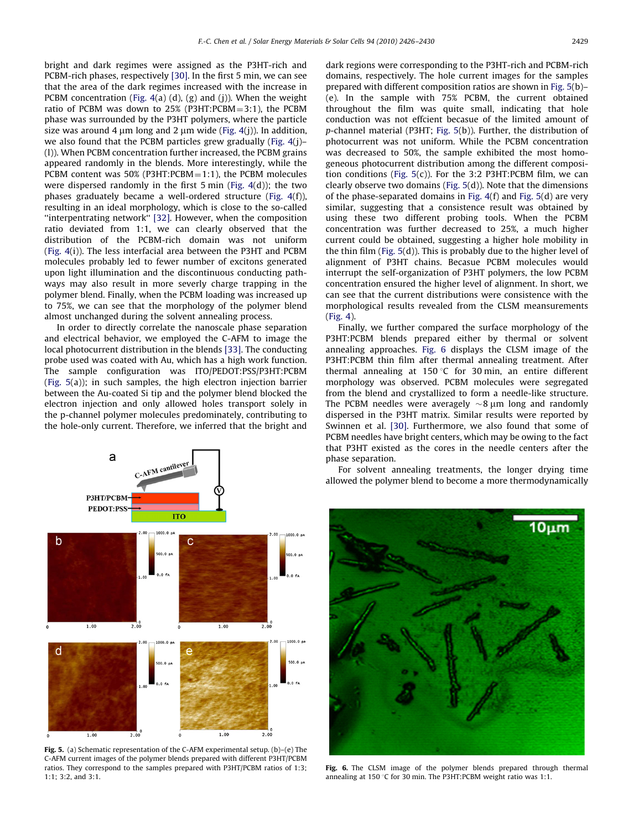bright and dark regimes were assigned as the P3HT-rich and PCBM-rich phases, respectively [\[30\]](#page-4-0). In the first 5 min, we can see that the area of the dark regimes increased with the increase in PCBM concentration (Fig.  $4(a)$  (d), (g) and (j)). When the weight ratio of PCBM was down to  $25%$  (P3HT:PCBM=3:1), the PCBM phase was surrounded by the P3HT polymers, where the particle size was around 4  $\mu$ m long and 2  $\mu$ m wide ([Fig. 4](#page-2-0)(j)). In addition, we also found that the PCBM particles grew gradually [\(Fig. 4](#page-2-0)(j)– (l)). When PCBM concentration further increased, the PCBM grains appeared randomly in the blends. More interestingly, while the PCBM content was  $50\%$  (P3HT:PCBM $= 1:1$ ), the PCBM molecules were dispersed randomly in the first 5 min ([Fig. 4](#page-2-0)(d)); the two phases graduately became a well-ordered structure [\(Fig. 4\(](#page-2-0)f)), resulting in an ideal morphology, which is close to the so-called ''interpentrating network'' [\[32\]](#page-4-0). However, when the composition ratio deviated from 1:1, we can clearly observed that the distribution of the PCBM-rich domain was not uniform ([Fig. 4\(](#page-2-0)i)). The less interfacial area between the P3HT and PCBM molecules probably led to fewer number of excitons generated upon light illumination and the discontinuous conducting pathways may also result in more severly charge trapping in the polymer blend. Finally, when the PCBM loading was increased up to 75%, we can see that the morphology of the polymer blend almost unchanged during the solvent annealing process.

In order to directly correlate the nanoscale phase separation and electrical behavior, we employed the C-AFM to image the local photocurrent distribution in the blends [\[33\].](#page-4-0) The conducting probe used was coated with Au, which has a high work function. The sample configuration was ITO/PEDOT:PSS/P3HT:PCBM (Fig. 5(a)); in such samples, the high electron injection barrier between the Au-coated Si tip and the polymer blend blocked the electron injection and only allowed holes transport solely in the p-channel polymer molecules predominately, contributing to the hole-only current. Therefore, we inferred that the bright and



Fig. 5. (a) Schematic representation of the C-AFM experimental setup. (b)–(e) The C-AFM current images of the polymer blends prepared with different P3HT/PCBM ratios. They correspond to the samples prepared with P3HT/PCBM ratios of 1:3; 1:1; 3:2, and 3:1.

dark regions were corresponding to the P3HT-rich and PCBM-rich domains, respectively. The hole current images for the samples prepared with different composition ratios are shown in Fig. 5(b)– (e). In the sample with 75% PCBM, the current obtained throughout the film was quite small, indicating that hole conduction was not effcient becasue of the limited amount of p-channel material (P3HT; Fig. 5(b)). Further, the distribution of photocurrent was not uniform. While the PCBM concentration was decreased to 50%, the sample exhibited the most homogeneous photocurrent distribution among the different composition conditions (Fig. 5(c)). For the 3:2 P3HT:PCBM film, we can clearly observe two domains (Fig. 5(d)). Note that the dimensions of the phase-separated domains in [Fig. 4](#page-2-0)(f) and Fig. 5(d) are very similar, suggesting that a consistence result was obtained by using these two different probing tools. When the PCBM concentration was further decreased to 25%, a much higher current could be obtained, suggesting a higher hole mobility in the thin film (Fig. 5(d)). This is probably due to the higher level of alignment of P3HT chains. Becasue PCBM molecules would interrupt the self-organization of P3HT polymers, the low PCBM concentration ensured the higher level of alignment. In short, we can see that the current distributions were consistence with the morphological results revealed from the CLSM meansurements ([Fig. 4](#page-2-0)).

Finally, we further compared the surface morphology of the P3HT:PCBM blends prepared either by thermal or solvent annealing approaches. Fig. 6 displays the CLSM image of the P3HT:PCBM thin film after thermal annealing treatment. After thermal annealing at 150 °C for 30 min, an entire different morphology was observed. PCBM molecules were segregated from the blend and crystallized to form a needle-like structure. The PCBM needles were averagely  $\sim$ 8  $\mu$ m long and randomly dispersed in the P3HT matrix. Similar results were reported by Swinnen et al. [\[30\]](#page-4-0). Furthermore, we also found that some of PCBM needles have bright centers, which may be owing to the fact that P3HT existed as the cores in the needle centers after the phase separation.

For solvent annealing treatments, the longer drying time allowed the polymer blend to become a more thermodynamically



Fig. 6. The CLSM image of the polymer blends prepared through thermal annealing at 150 °C for 30 min. The P3HT:PCBM weight ratio was 1:1.